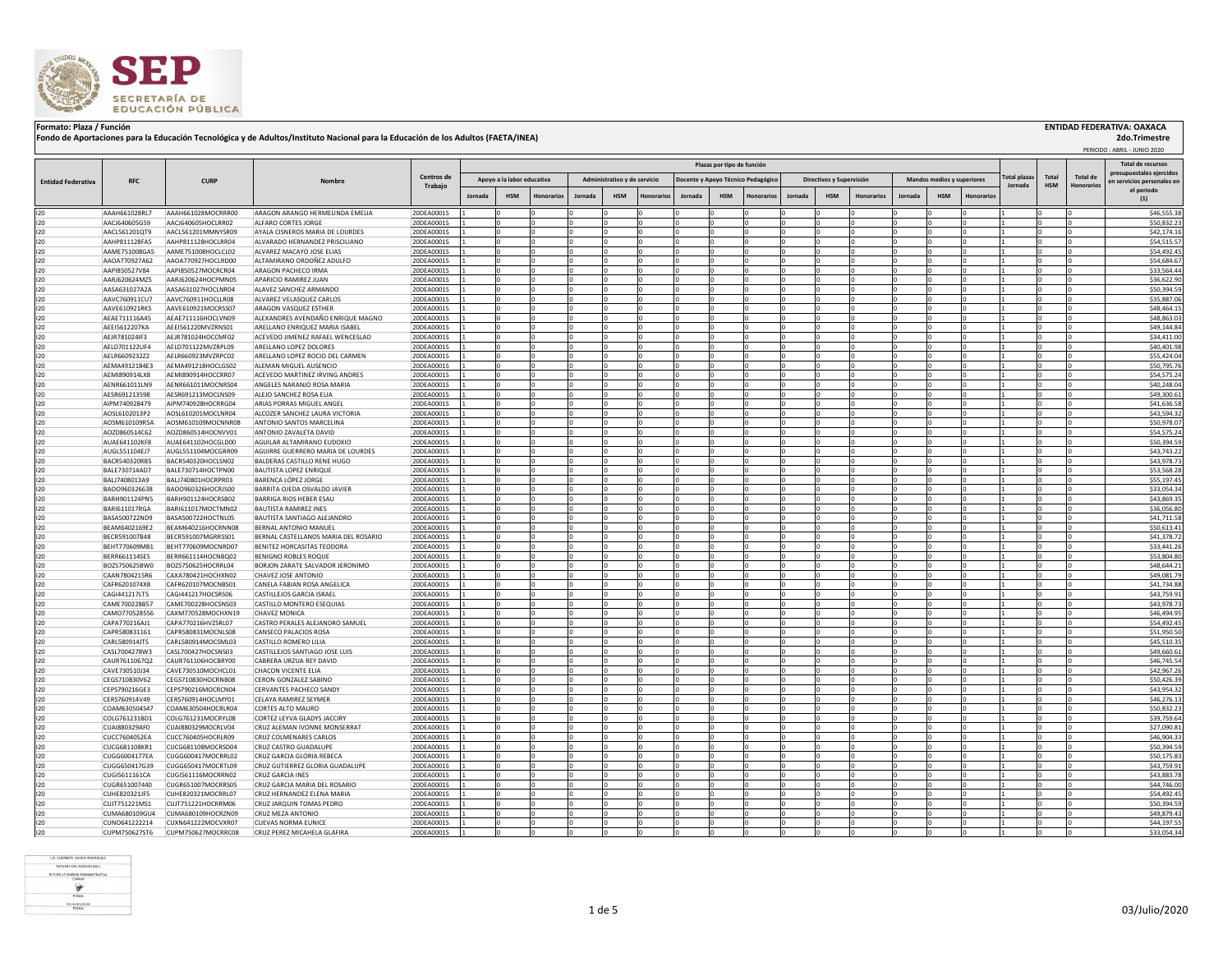

## Formato: Plaza / Función **ENTIDAD FEDERATIVA: OAXACA (INSTITUA) ENTIDAD FEDERATIVA: OAXACA**<br>Fondo de Aportaciones para la Educación Tecnológica y de Adultos/Instituto Nacional para la Educación de los Adultos (FAETA/INEA)

 **2do.Trimestre**

PERIODO : ABRIL - JUNIO 2020

|                           |                                |                                          |                                                           |                          | Plazas por tipo de función |                            |            |         |                              |            |                                    |            |            |         |                          |                   |         |                            | <b>Total de recursos</b><br>presupuestales ejercidos |                     |            |                 |                            |
|---------------------------|--------------------------------|------------------------------------------|-----------------------------------------------------------|--------------------------|----------------------------|----------------------------|------------|---------|------------------------------|------------|------------------------------------|------------|------------|---------|--------------------------|-------------------|---------|----------------------------|------------------------------------------------------|---------------------|------------|-----------------|----------------------------|
| <b>Entidad Federativa</b> | <b>RFC</b>                     | <b>CURP</b>                              | Nombre                                                    | Centros de               |                            | Apoyo a la labor educativa |            |         | Administrativo y de servicio |            | Docente y Apoyo Técnico Pedagógico |            |            |         | Directivos y Supervisión |                   |         | Mandos medios y superiores |                                                      | <b>Total plazas</b> | Total      | <b>Total de</b> | en servicios personales er |
|                           |                                |                                          |                                                           | Trabajo                  |                            |                            |            |         |                              |            |                                    |            |            |         |                          |                   |         |                            |                                                      | Jornada             | <b>HSM</b> | Honorarios      | el periodo                 |
|                           |                                |                                          |                                                           |                          |                            | <b>HSM</b>                 | Honorarios | Jornada | <b>HSM</b>                   | Honorario: | Jornada                            | <b>HSM</b> | Ionorarios | Jornada | <b>HSM</b>               | <b>Honorarios</b> | Jornada | <b>HSM</b>                 | Honorario:                                           |                     |            |                 | (1)                        |
| 120                       | AAAH661028RL7                  | AAAH661028MOCRRR00                       | ARAGON ARANGO HERMELINDA EMELIA                           | 20DEA0001S               |                            |                            |            |         |                              |            |                                    |            |            |         |                          |                   |         |                            |                                                      |                     |            |                 | \$46,555.38                |
| 120                       | AACJ640605G59                  | AACJ640605HOCLRR02                       | ALFARO CORTES JORGE                                       | 20DEA0001S               |                            |                            |            |         |                              |            |                                    |            |            |         |                          |                   |         |                            |                                                      |                     |            |                 | \$50,832.2                 |
| 120                       | AACL561201QT9                  | AACL561201MMNYSR09                       | AYALA CISNEROS MARIA DE LOURDES                           | 20DEA0001S               |                            |                            |            |         |                              |            |                                    |            |            |         |                          |                   |         |                            |                                                      |                     |            |                 | \$42,174.1                 |
| 120                       | AAHP811128FA5                  | AAHP811128HOCLRR04                       | ALVARADO HERNANDEZ PRISCILIANO                            | 20DEA0001S               |                            |                            |            |         |                              |            |                                    |            |            |         |                          |                   |         |                            |                                                      |                     |            |                 | \$54,515.5                 |
| 120                       | AAME751008GA5                  | AAME751008HOCLCL02                       | ALVAREZ MACAYO JOSE ELIAS                                 | 20DEA0001S               |                            |                            |            |         |                              |            |                                    |            |            |         |                          |                   |         |                            |                                                      |                     |            |                 | \$54,492.4                 |
| 120                       | AAOA770927A62                  | AAOA770927HOCLRD00                       | ALTAMIRANO ORDOÑEZ ADULFC                                 | 20DEA0001S               |                            |                            |            |         |                              |            |                                    |            |            |         |                          |                   |         |                            |                                                      |                     |            |                 | \$54,684.6                 |
| 120                       | AAPI850527V84                  | AAPI850527MOCRCR04                       | ARAGON PACHECO IRMA                                       | 20DEA0001S               |                            |                            |            |         |                              |            |                                    |            |            |         |                          |                   |         |                            |                                                      |                     |            |                 | \$33,564.4                 |
| 120                       | AARJ620624MZ5                  | AARJ620624HOCPMN05                       | APARICIO RAMIREZ JUAN                                     | 20DEA0001S               | I0                         |                            |            |         |                              |            |                                    |            |            |         |                          |                   |         |                            |                                                      |                     |            |                 | \$36,622.9                 |
| 120<br>120                | AASA631027A2A<br>AAVC760911CU7 | AASA631027HOCLNR04<br>AAVC760911HOCLLR08 | ALAVEZ SANCHEZ ARMANDO<br>ALVAREZ VELASQUEZ CARLOS        | 20DEA0001S<br>20DEA0001S | ١o<br>I٥                   |                            |            |         |                              |            |                                    |            |            |         |                          |                   |         |                            |                                                      |                     |            |                 | \$50,394.5<br>\$35,887.0   |
| 120                       | AAVE610921RK5                  | AAVE610921MOCRSS07                       | ARAGON VASQUEZ ESTHER                                     | 20DEA0001S               | $\Omega$                   |                            |            |         |                              |            |                                    |            |            |         |                          |                   |         |                            |                                                      |                     |            |                 | \$48,464.1                 |
| 120                       | AEAE711116A45                  | AEAE711116HOCLVN09                       | ALEXANDRES AVENDAÑO ENRIQUE MAGNO                         | 20DEA0001S               |                            |                            |            |         |                              |            |                                    |            |            |         |                          |                   |         |                            |                                                      |                     |            |                 | \$48,863.0                 |
| 120                       | AEEI5612207KA                  | AEEI561220MVZRNS01                       | ARELLANO ENRIQUEZ MARIA ISABEL                            | 20DEA0001S               | ١c                         |                            |            |         |                              |            |                                    |            |            |         |                          |                   |         |                            |                                                      |                     |            |                 | \$49,144.84                |
| 120                       | AEJR781024IF3                  | AEJR781024HOCCMF02                       | ACEVEDO JIMENEZ RAFAEL WENCESLAO                          | 20DEA0001S               | I٥                         |                            |            |         |                              |            |                                    |            |            |         |                          |                   |         |                            |                                                      |                     |            |                 | \$34,411.00                |
| 120                       | AELD701122UF4                  | AELD701122MVZRPL09                       | ARELLANO LOPEZ DOLORES                                    | 20DEA0001S               |                            |                            |            |         |                              |            |                                    |            |            |         |                          |                   |         |                            |                                                      |                     |            |                 | \$40,401.98                |
| 120                       | AELR6609232Z2                  | AELR660923MVZRPC02                       | ARELLANO LOPEZ ROCIO DEL CARMEN                           | 20DEA0001S               | ١c                         |                            |            |         |                              |            |                                    |            |            |         |                          |                   |         |                            |                                                      |                     |            |                 | \$55,424.0                 |
| 120                       | AEMA4912184E3                  | AEMA491218HOCLGS02                       | ALEMAN MIGUEL AUSENCIO                                    | 20DEA0001S               |                            |                            |            |         |                              |            |                                    |            |            |         |                          |                   |         |                            |                                                      |                     |            |                 | \$50,795.7                 |
| 120                       | AEMI890914LX8                  | AEMI890914HOCCRR07                       | ACEVEDO MARTINEZ IRVING ANDRES                            | 20DEA0001S               |                            |                            |            |         |                              |            |                                    |            |            |         |                          |                   |         |                            |                                                      |                     |            |                 | \$54,575.24                |
| 120                       | AENR661011LN9                  | AENR661011MOCNRS04                       | ANGELES NARANJO ROSA MARIA                                | 20DEA0001S               | I٥                         |                            |            |         |                              |            |                                    |            |            |         |                          |                   |         |                            |                                                      |                     |            |                 | \$40,248.0                 |
| 120                       | AESR691213598                  | AESR691213MOCLNS09                       | ALEJO SANCHEZ ROSA ELIA                                   | 20DEA0001S               | Iо                         |                            |            |         |                              |            |                                    |            |            |         |                          |                   |         |                            |                                                      |                     |            |                 | \$49,300.6                 |
| 120                       | AIPM740928479                  | AIPM740928HOCRRG04                       | ARIAS PORRAS MIGUEL ANGEL                                 | 20DEA0001S               | Iо                         |                            |            |         |                              |            |                                    |            |            |         |                          |                   |         |                            |                                                      |                     |            |                 | \$41,636.58                |
| 120                       | AOSL6102013P2                  | AOSL610201MOCLNR04                       | ALCOZER SANCHEZ LAURA VICTORIA                            | 20DEA0001S               | I٥                         |                            |            |         |                              |            |                                    |            |            |         |                          |                   |         |                            |                                                      |                     |            |                 | \$43,594.3                 |
| 120                       | AOSM610109R5A                  | AOSM610109MOCNNR08                       | ANTONIO SANTOS MARCELINA                                  | 20DEA0001S               | I٥                         |                            |            |         |                              |            |                                    |            |            |         |                          |                   |         |                            |                                                      |                     |            |                 | \$50,978.0                 |
| 120                       | AOZD860514C62                  | AOZD860514HOCNVV01                       | ANTONIO ZAVALETA DAVID                                    | 20DEA0001S               |                            |                            |            |         |                              |            |                                    |            |            |         |                          |                   |         |                            |                                                      |                     |            |                 | \$54,575.2                 |
| 120                       | AUAE641102KF8                  | AUAE641102HOCGLD00                       | AGUILAR ALTAMIRANO EUDOXIC                                | 20DEA0001S               | Ι٥                         |                            |            |         |                              |            |                                    |            |            |         |                          |                   |         |                            |                                                      |                     |            |                 | \$50,394.5                 |
| 120                       | AUGL551104EJ7                  | AUGL551104MOCGRR09                       | AGUIRRE GUERRERO MARIA DE LOURDES                         | 20DEA0001S               | I٥                         |                            |            |         |                              |            |                                    |            |            |         |                          |                   |         |                            |                                                      |                     |            |                 | \$43,743.2                 |
| 120                       | BACR540320RB5                  | BACR540320HOCLSN02                       | <b>BALDERAS CASTILLO RENE HUGO</b>                        | 20DEA0001S               | ١o                         |                            |            |         |                              |            |                                    |            |            |         |                          |                   |         |                            |                                                      |                     |            |                 | \$43,978.7                 |
| 120<br>120                | BALE730714AD7<br>BALJ7408013A9 | BALE730714HOCTPN00<br>BALJ740801HOCRPR03 | <b>BAUTISTA LOPEZ ENRIQUE</b><br>BARENCA LÓPEZ JORGE      | 20DEA0001S<br>20DEA0001S |                            |                            |            |         |                              |            |                                    |            |            |         |                          |                   |         |                            |                                                      |                     |            |                 | \$53,568.2<br>\$55,197.4   |
| 120                       | BAOO960326638                  | BAOO960326HOCRJS00                       | BARRITA OJEDA OSVALDO JAVIER                              | 20DEA0001S               |                            |                            |            |         |                              |            |                                    |            |            |         |                          |                   |         |                            |                                                      |                     |            |                 | \$33,054.3                 |
| 120                       | BARH901124PN5                  | BARH901124HOCRSB02                       | BARRIGA RIOS HEBER ESAU                                   | 20DEA0001S               | I٥                         |                            |            |         |                              |            |                                    |            |            |         |                          |                   |         |                            |                                                      |                     |            |                 | \$43,869.3                 |
| 120                       | BARI611017RGA                  | BARI611017MOCTMN02                       | <b>BAUTISTA RAMIREZ INES</b>                              | 20DEA0001S               | Iо                         |                            |            |         |                              |            |                                    |            |            |         |                          |                   |         |                            |                                                      |                     |            |                 | \$36,056.80                |
| 120                       | BASA500722ND9                  | BASA500722HOCTNL05                       | <b>BAUTISTA SANTIAGO ALEJANDRO</b>                        | 20DEA0001S               | I0                         |                            |            |         |                              |            |                                    |            |            |         |                          |                   |         |                            |                                                      |                     |            |                 | \$41,711.58                |
| 120                       | BEAM6402169E2                  | BEAM640216HOCRNN08                       | BERNAL ANTONIO MANUEL                                     | 20DEA0001S               | I٥                         |                            |            |         |                              |            |                                    |            |            |         |                          |                   |         |                            |                                                      |                     |            |                 | \$50,613.4                 |
| 120                       | BECR591007B48                  | BECR591007MGRRSS01                       | BERNAL CASTELLANOS MARIA DEL ROSARIO                      | 20DEA0001S               | I٥                         |                            |            |         |                              |            |                                    |            |            |         |                          |                   |         |                            |                                                      |                     |            |                 | \$41,378.7                 |
| 120                       | BEHT770609MB1                  | BEHT770609MOCNRD07                       | <b>BENITEZ HORCASITAS TEODORA</b>                         | 20DEA0001S               |                            |                            |            |         |                              |            |                                    |            |            |         |                          |                   |         |                            |                                                      |                     |            |                 | \$33,441.2                 |
| 120                       | BERR661114SE5                  | BERR661114HOCNBQ02                       | <b>BENIGNO ROBLES ROQUE</b>                               | 20DEA0001S               |                            |                            |            |         |                              |            |                                    |            |            |         |                          |                   |         |                            |                                                      |                     |            |                 | \$53,804.8                 |
| 120                       | BOZS750625BW0                  | BOZS750625HOCRRL04                       | BORJON ZARATE SALVADOR JERONIMO                           | 20DEA0001S               | I٥                         |                            |            |         |                              |            |                                    |            |            |         |                          |                   |         |                            |                                                      |                     |            |                 | \$48,644.2                 |
| 120                       | CAAN7804215R6                  | CAXA780421HOCHXN02                       | CHAVEZ JOSE ANTONIO                                       | 20DEA0001S               | Ιo                         |                            |            |         |                              |            |                                    |            |            |         |                          |                   |         |                            |                                                      |                     |            |                 | \$49,081.7                 |
| 120                       | CAFR6201074X8                  | CAFR620107MOCNBS01                       | CANELA FABIAN ROSA ANGELICA                               | 20DEA0001S               | Ιc                         |                            |            |         |                              |            |                                    |            |            |         |                          |                   |         |                            |                                                      |                     |            |                 | \$41,734.88                |
| 120                       | CAGI441217LT5                  | CAGI441217HOCSRS06                       | CASTILLEJOS GARCIA ISRAEL                                 | 20DEA0001S               |                            |                            |            |         |                              |            |                                    |            |            |         |                          |                   |         |                            |                                                      |                     |            |                 | \$43,759.9                 |
| 120                       | CAME700228B57                  | CAME700228HOCSNS03                       | CASTILLO MONTERO ESEQUIAS                                 | 20DEA0001S               |                            |                            |            |         |                              |            |                                    |            |            |         |                          |                   |         |                            |                                                      |                     |            |                 | \$43,978.7                 |
| 120                       | CAMO770528556                  | CAXM770528MOCHXN19                       | <b>CHAVEZ MONICA</b>                                      | 20DEA0001S               |                            |                            |            |         |                              |            |                                    |            |            |         |                          |                   |         |                            |                                                      |                     |            |                 | \$46,494.9                 |
| 120                       | CAPA770216AJ1                  | CAPA770216HVZSRL07                       | CASTRO PERALES ALEJANDRO SAMUEL                           | 20DEA0001S               | I0                         |                            |            |         |                              |            |                                    |            |            |         |                          |                   |         |                            |                                                      |                     |            |                 | \$54,492.4                 |
| 120                       | CAPR580831161                  | CAPR580831MOCNLS08                       | CANSECO PALACIOS ROSA                                     | 20DEA0001S               | I0                         |                            |            |         |                              |            |                                    |            |            |         |                          |                   |         |                            |                                                      |                     |            |                 | \$51,950.50                |
| 120                       | CARL580914JT5                  | CARL580914MOCSML03                       | CASTILLO ROMERO LILIA                                     | 20DEA0001S               |                            |                            |            |         |                              |            |                                    |            |            |         |                          |                   |         |                            |                                                      |                     |            |                 | \$45,510.3                 |
| 120<br>120                | CASL7004278W3<br>CAUR7611067Q2 | CASL700427HOCSNS03<br>CAUR761106HOCBRY00 | CASTILLEJOS SANTIAGO JOSE LUIS<br>CABRERA URZUA REY DAVID | 20DEA0001S<br>20DEA0001S |                            |                            |            |         |                              |            |                                    |            |            |         |                          |                   |         |                            |                                                      |                     |            |                 | \$49,660.6<br>\$46,745.5   |
| 120                       | CAVE730510J34                  | CAVE730510MOCHCL01                       | CHACON VICENTE ELIA                                       | 20DEA0001S               | Ι٥                         |                            |            |         |                              |            |                                    |            |            |         |                          |                   |         |                            |                                                      |                     |            |                 | \$42,967.2                 |
| 120                       | CEGS710830V62                  | CEGS710830HOCRNB08                       | <b>CERON GONZALEZ SABINO</b>                              | 20DEA0001S               | I٥                         |                            |            |         |                              |            |                                    |            |            |         |                          |                   |         |                            |                                                      |                     |            |                 | \$50,426.3                 |
| 120                       | CEPS790216GE3                  | CEPS790216MOCRCN04                       | CERVANTES PACHECO SANDY                                   | 20DEA0001S               | ١o                         |                            |            |         |                              |            |                                    |            |            |         |                          |                   |         |                            |                                                      |                     |            |                 | \$43,954.3                 |
| 120                       | CERS760914V49                  | CERS760914HOCLMY01                       | CELAYA RAMIREZ SEYMER                                     | 20DEA0001S               |                            |                            |            |         |                              |            |                                    |            |            |         |                          |                   |         |                            |                                                      |                     |            |                 | \$46,276.1                 |
| 120                       | COAM630504S47                  | COAM630504HOCRLR04                       | CORTES ALTO MAURO                                         | 20DEA0001S               |                            |                            |            |         |                              |            |                                    |            |            |         |                          |                   |         |                            |                                                      |                     |            |                 | \$50,832.2                 |
| 120                       | COLG761231BD1                  | COLG761231MOCRYL08                       | CORTEZ LEYVA GLADYS JACCIRY                               | 20DEA0001S               |                            |                            |            |         |                              |            |                                    |            |            |         |                          |                   |         |                            |                                                      |                     |            |                 | \$39,759.6                 |
| 120                       | CUAI880329AF0                  | CUAIR80329MOCRLV04                       | CRUZ ALEMAN IVONNE MONSERRAT                              | 20DEA0001S               |                            |                            |            |         |                              |            |                                    |            |            |         |                          |                   |         |                            |                                                      |                     |            |                 | \$27,090.8                 |
| 120                       | CUCC7604052EA                  | CUCC760405HOCRLR09                       | <b>CRUZ COLMENARES CARLOS</b>                             | 20DEA0001S               | ١o                         |                            |            |         |                              |            |                                    |            |            |         |                          |                   |         |                            |                                                      |                     |            |                 | \$46,904.3                 |
| 120                       | CUCG681108KR1                  | CUCG681108MOCRSD04                       | CRUZ CASTRO GUADALUPE                                     | 20DEA0001S               | I0                         |                            |            |         |                              |            |                                    |            |            |         |                          |                   |         |                            |                                                      |                     |            |                 | \$50,394.59                |
| 120                       | CUGG6004177EA                  | CUGG600417MOCRRL02                       | CRUZ GARCIA GLORIA REBECA                                 | 20DEA0001S               | l o                        |                            |            |         |                              | $\Omega$   |                                    |            |            |         |                          |                   |         |                            | I٥                                                   |                     |            |                 | \$50,175.8                 |
| 120                       | CUGG650417G39                  | CUGG650417MOCRTL09                       | CRUZ GUTIERREZ GLORIA GUADALUPE                           | 20DEA0001S               | I٥                         |                            |            |         |                              |            |                                    |            |            |         |                          |                   |         |                            |                                                      |                     |            |                 | \$43,759.9                 |
| 120                       | CUGI5611161CA                  | CUGI561116MOCRRN02                       | <b>CRUZ GARCIA INES</b>                                   | 20DEA0001S               | I٥                         |                            |            |         |                              |            |                                    |            |            |         |                          |                   |         |                            |                                                      |                     |            |                 | \$43,883.7                 |
| 120                       | CUGR651007440                  | CUGR651007MOCRRS05                       | CRUZ GARCIA MARIA DEL ROSARIO                             | 20DEA0001S               | Ι٥                         |                            |            |         |                              |            |                                    |            |            |         |                          |                   |         |                            |                                                      |                     |            |                 | \$44,746.00                |
| 120                       | CUHE820321JF5                  | CUHE820321MOCRRL07                       | CRUZ HERNANDEZ ELENA MARIA                                | 20DEA0001S               |                            |                            |            |         |                              |            |                                    |            |            |         |                          |                   |         |                            |                                                      |                     |            |                 | \$54,492.45                |
| 120                       | CUJT751221MS1                  | CUJT751221HOCRRM06                       | CRUZ JARQUIN TOMAS PEDRO                                  | 20DEA0001S               | ١o                         |                            |            |         |                              |            |                                    |            |            |         |                          |                   |         |                            |                                                      |                     |            |                 | \$50,394.5                 |
| 120                       | CUMA680109GU4                  | CUMA680109HOCRZN09                       | CRUZ MEZA ANTONIO                                         | 20DEA0001S               | I٥<br>I٥                   |                            |            |         |                              |            |                                    |            |            |         |                          |                   |         |                            |                                                      |                     |            |                 | \$49,879.43                |
| 120<br>120                | CUNO641222214<br>CUPM750627ST6 | CUXN641222MOCVXR07<br>CUPM750627MOCRRC08 | <b>CUEVAS NORMA EUNICE</b><br>CRUZ PEREZ MICAHELA GLAFIRA | 20DEA0001S<br>20DEA0001S |                            |                            |            |         |                              |            |                                    |            |            |         |                          |                   |         |                            |                                                      |                     |            |                 | \$44,197.5<br>\$33,054.34  |
|                           |                                |                                          |                                                           |                          |                            |                            |            |         |                              |            |                                    |            |            |         |                          |                   |         |                            |                                                      |                     |            |                 |                            |

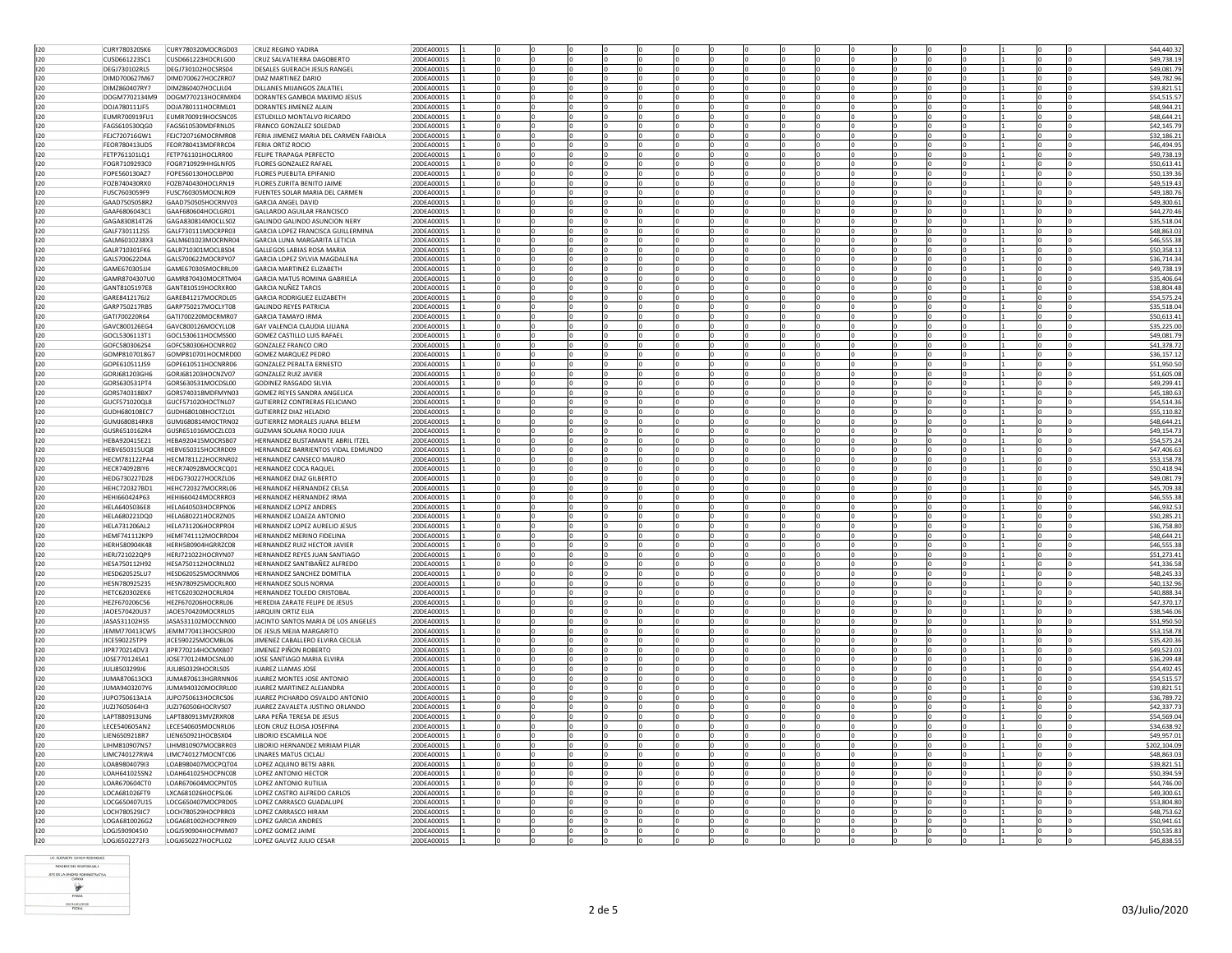|            | CURY780320SK6                  | CURY780320MOCRGD03                       | CRUZ REGINO YADIRA                           |                          |  |  |  |  |  |  |  |  |                           |
|------------|--------------------------------|------------------------------------------|----------------------------------------------|--------------------------|--|--|--|--|--|--|--|--|---------------------------|
| 120        |                                |                                          |                                              | 20DEA0001S               |  |  |  |  |  |  |  |  | \$44,440.32               |
| 120        | CUSD661223SC1                  | CUSD661223HOCRLG00                       | CRUZ SALVATIERRA DAGOBERTO                   | 20DEA0001S               |  |  |  |  |  |  |  |  | \$49,738.19               |
| 120        | DEGJ730102RL5                  | DEGJ730102HOCSRS04                       | DESALES GUERACH JESUS RANGEL                 | 20DEA00019               |  |  |  |  |  |  |  |  | \$49,081.7                |
| 120        | DIMD700627M67                  | DIMD700627HOCZRR07                       | DIAZ MARTINEZ DARIO                          | 20DEA0001S               |  |  |  |  |  |  |  |  | \$49,782.9                |
|            |                                |                                          |                                              |                          |  |  |  |  |  |  |  |  |                           |
| 120        | DIMZ860407RY7                  | DIMZ860407HOCLIL04                       | DILLANES MIJANGOS ZALATIEL                   | 20DEA0001S               |  |  |  |  |  |  |  |  | \$39,821.5                |
| 120        | DOGM7702134M9                  | DOGM770213HOCRMX04                       | DORANTES GAMBOA MAXIMO JESUS                 | 20DEA0001S               |  |  |  |  |  |  |  |  | \$54,515.5                |
| 120        | DOJA780111JF5                  | DOJA780111HOCRML01                       | DORANTES JIMENEZ ALAIN                       | 20DEA0001S               |  |  |  |  |  |  |  |  | \$48,944.2                |
|            |                                |                                          |                                              |                          |  |  |  |  |  |  |  |  |                           |
| 120        | EUMR700919FU1                  | EUMR700919HOCSNC05                       | <b>ESTUDILLO MONTALVO RICARDO</b>            | 20DEA0001S               |  |  |  |  |  |  |  |  | \$48,644.2                |
| 120        | FAGS610530QG0                  | FAGS610530MDFRNL05                       | FRANCO GONZALEZ SOLEDAD                      | 20DEA0001S               |  |  |  |  |  |  |  |  | \$42,145.7                |
| 120        | FEJC720716GW1                  | FEJC720716MOCRMR08                       | FERIA JIMENEZ MARIA DEL CARMEN FABIOLA       | 20DEA0001S               |  |  |  |  |  |  |  |  | \$32,186.2                |
|            |                                |                                          |                                              |                          |  |  |  |  |  |  |  |  |                           |
| 120        | FEOR780413UD5                  | FEOR780413MDFRRC04                       | FERIA ORTIZ ROCIO                            | 20DEA0001S               |  |  |  |  |  |  |  |  | \$46,494.9                |
| 120        | FETP761101LQ1                  | FETP761101HOCLRR00                       | FELIPE TRAPAGA PERFECTO                      | 20DEA0001S               |  |  |  |  |  |  |  |  | \$49,738.1                |
| 120        | FOGR7109293C0                  | FOGR710929HHGLNF05                       | <b>FLORES GONZALEZ RAFAEL</b>                | 20DEA0001S               |  |  |  |  |  |  |  |  | \$50,613.4                |
|            |                                |                                          |                                              |                          |  |  |  |  |  |  |  |  |                           |
| 120        | FOPE560130AZ7                  | FOPE560130HOCLBP00                       | <b>FLORES PUEBLITA EPIFANIO</b>              | 20DEA0001S               |  |  |  |  |  |  |  |  | \$50,139.3                |
| 120        | FOZB740430RX0                  | FOZB740430HOCLRN19                       | <b>FLORES ZURITA BENITO JAIME</b>            | 20DEA0001S               |  |  |  |  |  |  |  |  | \$49,519.4                |
| 120        | FUSC7603059F9                  | FUSC760305MOCNLR09                       | FUENTES SOLAR MARIA DEL CARMEN               | 20DEA0001S               |  |  |  |  |  |  |  |  | \$49,180.7                |
|            |                                |                                          |                                              |                          |  |  |  |  |  |  |  |  |                           |
| 120        | GAAD7505058R2                  | GAAD750505HOCRNV03                       | <b>GARCIA ANGEL DAVID</b>                    | 20DEA0001S               |  |  |  |  |  |  |  |  | \$49,300.6                |
| 120        | GAAF6806043C1                  | GAAF680604HOCLGR01                       | GALLARDO AGUILAR FRANCISCO                   | 20DEA0001S               |  |  |  |  |  |  |  |  | \$44,270.46               |
| 120        | GAGA830814T26                  | GAGA830814MOCLLS02                       | GALINDO GALINDO ASUNCION NERY                | 20DEA0001S               |  |  |  |  |  |  |  |  | \$35,518.0                |
|            |                                |                                          |                                              |                          |  |  |  |  |  |  |  |  |                           |
| 120        | GALF7301112S5                  | GALF730111MOCRPR03                       | GARCIA LOPEZ FRANCISCA GUILLERMINA           | 20DEA0001S               |  |  |  |  |  |  |  |  | \$48,863.0                |
| 120        | GALM6010238X3                  | GALM601023MOCRNR04                       | GARCIA LUNA MARGARITA LETICIA                | 20DEA0001S               |  |  |  |  |  |  |  |  | \$46,555.3                |
| 120        | GALR710301FK6                  | GALR710301MOCLBS04                       | GALLEGOS LABIAS ROSA MARIA                   | 20DEA0001S               |  |  |  |  |  |  |  |  | \$50,358.1                |
|            |                                |                                          |                                              |                          |  |  |  |  |  |  |  |  |                           |
| 120        | GALS700622D4A                  | GALS700622MOCRPY07                       | <b>GARCIA LOPEZ SYLVIA MAGDALENA</b>         | 20DEA0001S               |  |  |  |  |  |  |  |  | \$36,714.3                |
| 120        | GAMF670305114                  | GAME670305MOCRRL09                       | <b>GARCIA MARTINEZ ELIZARETH</b>             | 20DEA0001S               |  |  |  |  |  |  |  |  | \$49,738.1                |
| 120        | GAMR8704307U0                  | GAMR870430MOCRTM04                       | <b>GARCIA MATUS ROMINA GABRIELA</b>          | 20DEA0001S               |  |  |  |  |  |  |  |  | \$35,406.64               |
|            | GANT8105197E8                  | GANT810519HOCRXR00                       | <b>GARCIA NUÑEZ TARCIS</b>                   | 20DEA0001S               |  |  |  |  |  |  |  |  |                           |
| 120        |                                |                                          |                                              |                          |  |  |  |  |  |  |  |  | \$38,804.48               |
| 120        | GARE8412176J2                  | GARE841217MOCRDL05                       | <b>GARCIA RODRIGUEZ ELIZABETH</b>            | 20DEA0001S               |  |  |  |  |  |  |  |  | \$54,575.2                |
| 120        | GARP750217RB5                  | GARP750217MOCLYT08                       | <b>GALINDO REYES PATRICIA</b>                | 20DEA0001S               |  |  |  |  |  |  |  |  | \$35,518.0                |
| 120        | GATI700220R64                  | GATI700220MOCRMR07                       | <b>GARCIA TAMAYO IRMA</b>                    | 20DEA0001S               |  |  |  |  |  |  |  |  | \$50,613.4                |
|            |                                |                                          |                                              |                          |  |  |  |  |  |  |  |  |                           |
| 120        | GAVC800126EG4                  | GAVC800126MOCYLL08                       | GAY VALENCIA CLAUDIA LILIANA                 | 20DEA0001S               |  |  |  |  |  |  |  |  | \$35,225.0                |
| 120        | GOCL5306113T1                  | GOCL530611HOCMSS00                       | <b>GOMEZ CASTILLO LUIS RAFAEL</b>            | 20DEA0001S               |  |  |  |  |  |  |  |  | \$49,081.7                |
| 120        | GOFC5803062S4                  | GOFC580306HOCNRR02                       | <b>GONZALEZ FRANCO CIRO</b>                  | 20DEA0001S               |  |  |  |  |  |  |  |  | \$41,378.7                |
|            |                                |                                          |                                              |                          |  |  |  |  |  |  |  |  |                           |
| 120        | GOMP8107018G7                  | GOMP810701HOCMRD00                       | <b>GOMEZ MARQUEZ PEDRO</b>                   | 20DEA0001S               |  |  |  |  |  |  |  |  | \$36,157.1                |
| 120        | GOPE610511J59                  | GOPE610511HOCNRR06                       | <b>GONZALEZ PERALTA ERNESTO</b>              | 20DEA0001S               |  |  |  |  |  |  |  |  | \$51,950.5                |
|            |                                |                                          | <b>GONZALEZ RUIZ JAVIER</b>                  |                          |  |  |  |  |  |  |  |  |                           |
| 120        | GORJ681203GH6                  | GORJ681203HOCNZV07                       |                                              | 20DEA0001S               |  |  |  |  |  |  |  |  | \$51,605.0                |
| 120        | GORS630531PT4                  | GORS630531MOCDSL00                       | <b>GODINEZ RASGADO SILVIA</b>                | 20DEA0001S               |  |  |  |  |  |  |  |  | \$49,299.4                |
| 120        | GORS740318BX7                  | GORS740318MDFMYN03                       | GOMEZ REYES SANDRA ANGELICA                  | 20DEA0001S               |  |  |  |  |  |  |  |  | \$45,180.6                |
| 120        | GUCE5710200L8                  | GUCE571020HOCTNL07                       | GUTIERREZ CONTRERAS FELICIANO                | 20DEA0001S               |  |  |  |  |  |  |  |  | \$54,514.3                |
|            |                                |                                          |                                              |                          |  |  |  |  |  |  |  |  |                           |
| 120        | GUDH680108EC7                  | GUDH680108HOCTZL01                       | <b>GUTIERREZ DIAZ HELADIO</b>                | 20DEA0001S               |  |  |  |  |  |  |  |  | \$55,110.8                |
| 120        | GUMJ680814RK8                  | GUMJ680814MOCTRN02                       | GUTIERREZ MORALES JUANA BELEM                | 20DEA0001S               |  |  |  |  |  |  |  |  | \$48,644.2                |
| 120        | GUSR6510162R4                  | GUSR651016MOCZLC03                       | <b>GUZMAN SOLANA ROCIO JULIA</b>             | 20DEA0001S               |  |  |  |  |  |  |  |  | \$49,154.7                |
|            |                                |                                          |                                              |                          |  |  |  |  |  |  |  |  |                           |
|            | HEBA920415E21                  | HEBA920415MOCRSB07                       |                                              |                          |  |  |  |  |  |  |  |  |                           |
| 120        |                                |                                          | HERNANDEZ BUSTAMANTE ABRIL ITZEL             | 20DEA0001S               |  |  |  |  |  |  |  |  | \$54,575.2                |
|            |                                |                                          |                                              |                          |  |  |  |  |  |  |  |  |                           |
| 120        | HEBV650315UQ8                  | HEBV650315HOCRRD09                       | HERNANDEZ BARRIENTOS VIDAL EDMUNDO           | 20DEA0001S               |  |  |  |  |  |  |  |  | \$47,406.6                |
| 120        | HECM781122PA4                  | HECM781122HOCRNR02                       | HERNANDEZ CANSECO MAURO                      | 20DEA0001S               |  |  |  |  |  |  |  |  | \$53,158.7                |
| 120        | HECR740928IY6                  | HECR740928MOCRCO01                       | HERNANDEZ COCA RAQUEL                        | 20DEA0001S               |  |  |  |  |  |  |  |  | \$50,418.9                |
|            |                                |                                          |                                              |                          |  |  |  |  |  |  |  |  |                           |
| 120        | HEDG730227D28                  | HEDG730227HOCRZL06                       | HERNANDEZ DIAZ GILBERTO                      | 20DEA0001S               |  |  |  |  |  |  |  |  | \$49,081.7                |
| 120        | HFHC720327BD1                  | HEHC720327MOCRRL06                       | HERNANDEZ HERNANDEZ CELSA                    | 20DEA0001S               |  |  |  |  |  |  |  |  | \$45,709.38               |
| 120        | HEHI660424P63                  | HEHI660424MOCRRR03                       | HERNANDEZ HERNANDEZ IRMA                     | 20DEA0001S               |  |  |  |  |  |  |  |  | \$46,555.3                |
|            |                                |                                          |                                              | 20DEA0001S               |  |  |  |  |  |  |  |  |                           |
| 120        | HELA6405036E8                  | HELA640503HOCRPN06                       | HERNANDEZ LOPEZ ANDRES                       |                          |  |  |  |  |  |  |  |  | \$46,932.5                |
| 120        | HELA680221DQ0                  | HELA680221HOCRZN05                       | HERNANDEZ LOAEZA ANTONIO                     | 20DEA0001S               |  |  |  |  |  |  |  |  | \$50,285.2                |
| 120        | HELA731206AL2                  | HELA731206HOCRPR04                       | HERNANDEZ LOPEZ AURELIO JESUS                | 20DEA0001S               |  |  |  |  |  |  |  |  | \$36,758.8                |
|            |                                |                                          |                                              |                          |  |  |  |  |  |  |  |  |                           |
| 120        | HEMF741112KP9                  | HEMF741112MOCRRD04                       | HERNANDEZ MERINO FIDELINA                    | 20DEA0001S               |  |  |  |  |  |  |  |  | \$48,644.21               |
| 120        | HERH580904K48                  | HERH580904HGRRZC08                       | HERNANDEZ RUIZ HECTOR JAVIER                 | 20DEA0001S               |  |  |  |  |  |  |  |  | \$46,555.3                |
| 120        | HERJ721022QP9                  | HERJ721022HOCRYN07                       | HERNANDEZ REYES JUAN SANTIAGO                | 20DEA0001S               |  |  |  |  |  |  |  |  | \$51,273.4                |
|            | HESA750112H92                  | HESA750112HOCRNL02                       | HERNANDEZ SANTIBAÑEZ ALFREDO                 | 20DEA0001S               |  |  |  |  |  |  |  |  |                           |
| 120        |                                |                                          |                                              |                          |  |  |  |  |  |  |  |  | \$41,336.5                |
| 120        | HESD620525LU7                  | HESD620525MOCRNM06                       | HERNANDEZ SANCHEZ DOMITILA                   | 20DEA0001S               |  |  |  |  |  |  |  |  | \$48,245.3                |
| 120        | HESN780925235                  | HESN780925MOCRLR00                       | <b>HERNANDEZ SOLIS NORMA</b>                 | 20DEA0001S               |  |  |  |  |  |  |  |  | \$40,132.9                |
| 120        | HETC620302EK6                  | HETC620302HOCRLR04                       | HERNANDEZ TOLEDO CRISTOBAL                   | 20DEA0001S               |  |  |  |  |  |  |  |  |                           |
|            |                                |                                          |                                              |                          |  |  |  |  |  |  |  |  | \$40,888.3                |
| 120        | HEZF670206C56                  | HEZF670206HOCRRL06                       | HEREDIA ZARATE FELIPE DE JESUS               | 20DEA0001S               |  |  |  |  |  |  |  |  | \$47,370.1                |
| 120        | JA0E570420U37                  | JAOE570420MOCRRL05                       | JARQUIN ORTIZ ELIA                           | 20DEA0001S               |  |  |  |  |  |  |  |  | \$38,546.0                |
| 120        | JASA531102HS5                  | JASA531102MOCCNN00                       | JACINTO SANTOS MARIA DE LOS ANGELES          | 20DEA0001S               |  |  |  |  |  |  |  |  | \$51,950.50               |
|            |                                |                                          |                                              |                          |  |  |  |  |  |  |  |  |                           |
| 120        | JEMM770413CW5                  | JEMM770413HOCSJR00                       | DE JESUS MEJIA MARGARITO                     | 20DEA00019               |  |  |  |  |  |  |  |  | \$53,158.7                |
| 120        | JICE590225TP9                  | IICE590225MOCMBL06                       | <b>IIMENEZ CABALLERO ELVIRA CECILIA</b>      | 20DEA0001S               |  |  |  |  |  |  |  |  | \$35,420.3                |
| 120        | JIPR770214DV3                  | JIPR770214HOCMXB07                       | JIMENEZ PIÑON ROBERTO                        | 20DEA0001S               |  |  |  |  |  |  |  |  | \$49,523.0                |
|            |                                |                                          |                                              |                          |  |  |  |  |  |  |  |  |                           |
| 120        | JOSE770124SA1                  | JOSE770124MOCSNL00                       | JOSE SANTIAGO MARIA ELVIRA                   | 20DEA0001S               |  |  |  |  |  |  |  |  | \$36,299.4                |
| 120        | JULJ8503299J6                  | JULJ850329HOCRLS05                       | JUAREZ LLAMAS JOSE                           | 20DEA0001S               |  |  |  |  |  |  |  |  | \$54,492.4                |
|            |                                | JUMA870613HGRRNN06                       | JUAREZ MONTES JOSE ANTONIO                   | 20DEA0001S               |  |  |  |  |  |  |  |  |                           |
| 120        | JUMA870613CK3                  |                                          |                                              |                          |  |  |  |  |  |  |  |  | \$54,515.5                |
| 120        | JUMA9403207Y6                  | JUMA940320MOCRRL00                       | JUAREZ MARTINEZ ALEJANDRA                    | 20DEA0001S               |  |  |  |  |  |  |  |  | \$39,821.5                |
| 120        | JUPO750613A1A                  | JUPO750613HOCRCS06                       | JUAREZ PICHARDO OSVALDO ANTONIO              | 20DEA0001S               |  |  |  |  |  |  |  |  | \$36,789.7                |
|            | JUZJ7605064H3                  | JUZJ760506HOCRVS07                       | JUAREZ ZAVALETA JUSTINO ORLANDO              | 20DEA0001S               |  |  |  |  |  |  |  |  |                           |
| 120        |                                |                                          |                                              |                          |  |  |  |  |  |  |  |  | \$42,337.7                |
| 120        | LAPT880913UN6                  | LAPT880913MVZRXR08                       | LARA PEÑA TERESA DE JESUS                    | 20DEA00019               |  |  |  |  |  |  |  |  | \$54,569.0                |
| 120        | LECE540605AN2                  | LECE540605MOCNRL06                       | LEON CRUZ ELOISA JOSEFINA                    | 20DEA0001S               |  |  |  |  |  |  |  |  | \$34,638.9                |
|            | LIEN6509218R7                  | LIEN650921HOCBSX04                       | LIBORIO ESCAMILLA NOE                        | 20DEA0001S               |  |  |  |  |  |  |  |  |                           |
| 120        |                                |                                          |                                              |                          |  |  |  |  |  |  |  |  | \$49,957.0                |
| 120        | LIHM810907N57                  | LIHM810907MOCBRR03                       | LIBORIO HERNANDEZ MIRIAM PILAR               | 20DEA0001S               |  |  |  |  |  |  |  |  | \$202,104.09              |
| 120        | LIMC740127RW4                  | LIMC740127MOCNTC06                       | <b>LINARES MATUS CICLALI</b>                 | 20DEA0001S               |  |  |  |  |  |  |  |  | \$48,863.0                |
|            |                                |                                          |                                              |                          |  |  |  |  |  |  |  |  |                           |
| 120        | LOAB980407913                  | LOAB980407MOCPQT04                       | LOPEZ AQUINO BETSI ABRII                     | 20DEA0001S               |  |  |  |  |  |  |  |  | \$39,821.5                |
| 120        | I OAH641025SN2                 | LOAH641025HOCPNC08                       | LOPEZ ANTONIO HECTOR                         | 20DEA0001S               |  |  |  |  |  |  |  |  | \$50,394.5                |
| 120        | LOAR670604CT0                  | LOAR670604MOCPNT05                       | LOPEZ ANTONIO RUTILIA                        | 20DEA0001S               |  |  |  |  |  |  |  |  | \$44,746.00               |
| 120        | LOCA681026FT9                  | LXCA681026HOCPSL06                       | LOPEZ CASTRO ALFREDO CARLOS                  | 20DEA0001S               |  |  |  |  |  |  |  |  | \$49,300.6                |
|            |                                |                                          |                                              |                          |  |  |  |  |  |  |  |  |                           |
| 120        | LOCG650407U15                  | LOCG650407MOCPRD05                       | LOPEZ CARRASCO GUADALUPE                     | 20DEA00019               |  |  |  |  |  |  |  |  | \$53,804.8                |
| 120        | LOCH780529JC7                  | LOCH780529HOCPRR03                       | <b>LOPEZ CARRASCO HIRAM</b>                  | 20DEA0001S               |  |  |  |  |  |  |  |  | \$48,753.6                |
|            |                                |                                          |                                              |                          |  |  |  |  |  |  |  |  |                           |
| 120        | LOGA6810026G2                  | LOGA681002HOCPRN09                       | LOPEZ GARCIA ANDRES                          | 20DEA0001S               |  |  |  |  |  |  |  |  | \$50,941.61               |
| 120<br>120 | LOGJ5909045I0<br>LOGJ6502272F3 | LOGJ590904HOCPMM07<br>LOGJ650227HOCPLL02 | LOPEZ GOMEZ JAIME<br>LOPEZ GALVEZ JULIO CESA | 20DEA0001S<br>20DEA0001S |  |  |  |  |  |  |  |  | \$50,535.8<br>\$45,838.55 |

.<br>ELIZABETH GARCIA RODRIGUE NOMINE OF RESPONSANCE  $\mathbf{r}$ FIRMA  $2 \text{ de } 5$  03/Julio/2020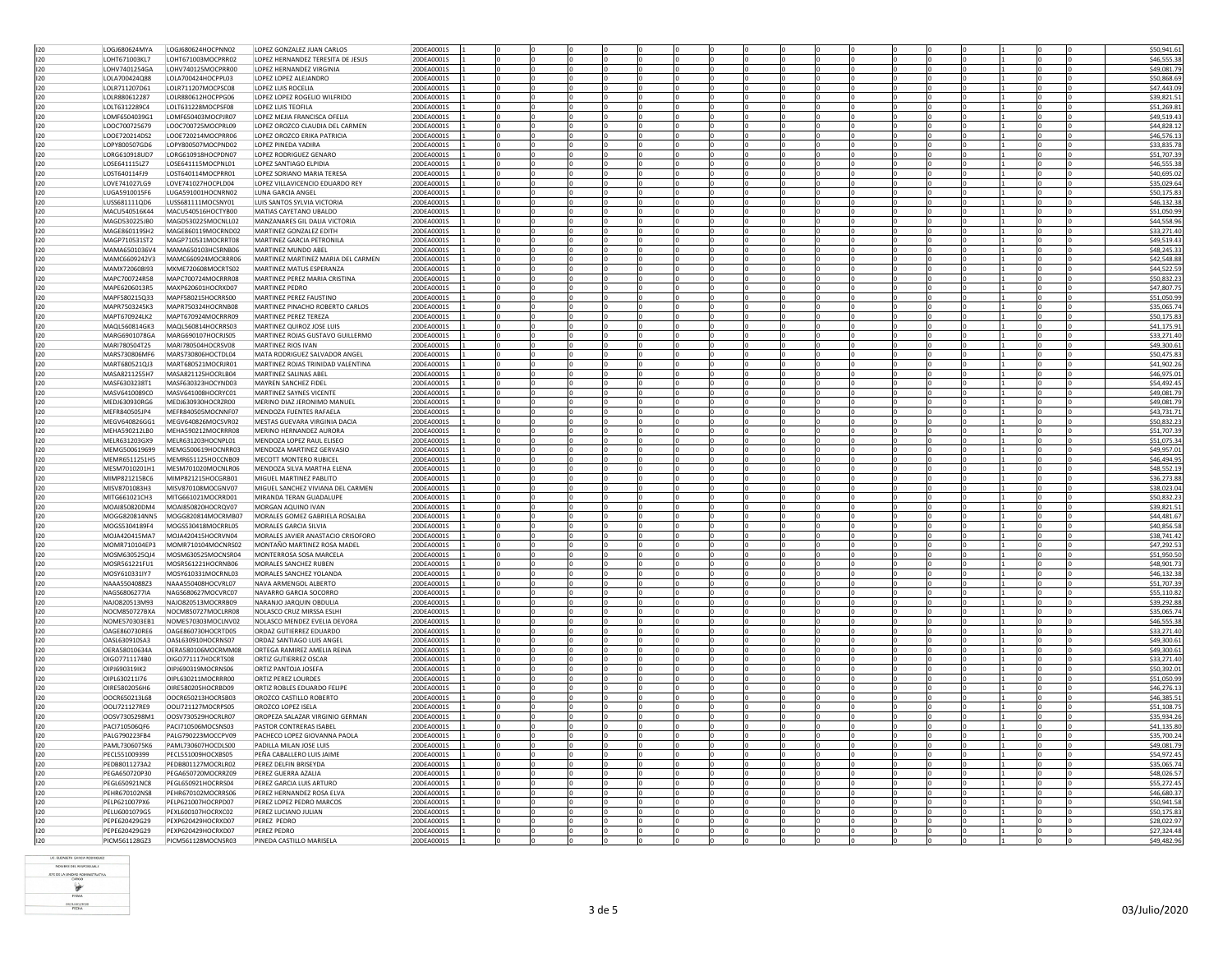| 120        | LOGJ680624MYA                  | LOGJ680624HOCPNN02                       | LOPEZ GONZALEZ JUAN CARLOS              | 20DEA0001S               |  |  |  |  |  |  | \$50,941.61                |
|------------|--------------------------------|------------------------------------------|-----------------------------------------|--------------------------|--|--|--|--|--|--|----------------------------|
|            |                                |                                          |                                         |                          |  |  |  |  |  |  |                            |
| 120        | LOHT671003KL7                  | LOHT671003MOCPRR02                       | LOPEZ HERNANDEZ TERESITA DE JESUS       | 20DEA0001S               |  |  |  |  |  |  | \$46,555.38                |
| 120        | LOHV7401254GA                  | LOHV740125MOCPRR00                       | LOPEZ HERNANDEZ VIRGINIA                | 20DEA00019               |  |  |  |  |  |  | \$49,081.79                |
| 120        | LOLA700424Q88                  | LOLA700424HOCPPL03                       | LOPEZ LOPEZ ALEJANDRO                   | 20DEA0001S               |  |  |  |  |  |  | \$50,868.6                 |
|            |                                |                                          |                                         |                          |  |  |  |  |  |  |                            |
| 120        | LOLR711207D61                  | LOLR711207MOCPSC08                       | LOPEZ LUIS ROCELIA                      | 20DEA0001S               |  |  |  |  |  |  | \$47,443.09                |
| 120        | LOLR880612287                  | LOLR880612HOCPPG06                       | LOPEZ LOPEZ ROGELIO WILFRIDO            | 20DEA0001S               |  |  |  |  |  |  | \$39,821.5                 |
| 120        | LOLT6312289C4                  | LOLT631228MOCPSF08                       | <b>LOPEZ LUIS TEOFILA</b>               | 20DEA0001S               |  |  |  |  |  |  | \$51,269.8                 |
|            |                                |                                          |                                         |                          |  |  |  |  |  |  |                            |
| 120        | LOMF6504039G1                  | LOMF650403MOCPJR07                       | LOPEZ MEJIA FRANCISCA OFELIA            | 20DEA0001S               |  |  |  |  |  |  | \$49,519.43                |
| 120        | LOOC700725679                  | LOOC700725MOCPRL09                       | LOPEZ OROZCO CLAUDIA DEL CARMEN         | 20DEA0001S               |  |  |  |  |  |  | \$44,828.12                |
| 120        | LOOE720214DS2                  | LOOE720214MOCPRR06                       | LOPEZ OROZCO ERIKA PATRICIA             | 20DEA0001S               |  |  |  |  |  |  | \$46,576.1                 |
|            |                                |                                          |                                         |                          |  |  |  |  |  |  |                            |
| 120        | LOPY800507GD6                  | LOPY800507MOCPND02                       | LOPEZ PINEDA YADIRA                     | 20DEA0001S               |  |  |  |  |  |  | \$33,835.78                |
| 120        | LORG610918UD7                  | LORG610918HOCPDN07                       | LOPEZ RODRIGUEZ GENARO                  | 20DEA00019               |  |  |  |  |  |  | \$51,707.3                 |
| 120        | LOSE641115LZ7                  | LOSE641115MOCPNL01                       | LOPEZ SANTIAGO ELPIDIA                  | 20DEA0001S               |  |  |  |  |  |  | \$46,555.3                 |
|            |                                |                                          |                                         |                          |  |  |  |  |  |  |                            |
| 120        | LOST640114FJ9                  | LOST640114MOCPRR01                       | LOPEZ SORIANO MARIA TERESA              | 20DEA0001S               |  |  |  |  |  |  | \$40,695.02                |
| 120        | LOVE741027LG9                  | LOVE741027HOCPLD04                       | LOPEZ VILLAVICENCIO EDUARDO REY         | 20DEA0001S               |  |  |  |  |  |  | \$35,029.64                |
| 120        | LUGA5910015F6                  | LUGA591001HOCNRN02                       | LUNA GARCIA ANGEL                       | 20DEA0001S               |  |  |  |  |  |  | \$50,175.8                 |
|            |                                |                                          |                                         |                          |  |  |  |  |  |  |                            |
| 120        | LUSS681111QD6                  | LUSS681111MOCSNY01                       | LUIS SANTOS SYLVIA VICTORIA             | 20DEA0001S               |  |  |  |  |  |  | \$46,132.38                |
| 120        | MACU540516K44                  | MACU540516HOCTYB00                       | MATIAS CAYETANO UBALDO                  | 20DEA0001S               |  |  |  |  |  |  | \$51,050.99                |
|            |                                |                                          |                                         |                          |  |  |  |  |  |  |                            |
| 120        | MAGD530225JB0                  | MAGD530225MOCNLL02                       | MANZANARES GIL DALIA VICTORIA           | 20DEA0001S               |  |  |  |  |  |  | \$44,558.96                |
| 120        | MAGE860119SH2                  | MAGE860119MOCRND02                       | MARTINEZ GONZALEZ EDITH                 | 20DEA0001S               |  |  |  |  |  |  | \$33,271.4                 |
| 120        | MAGP710531ST2                  | MAGP710531MOCRRT08                       | MARTINEZ GARCIA PETRONILA               | 20DEA0001S               |  |  |  |  |  |  | \$49,519.4                 |
|            |                                |                                          |                                         |                          |  |  |  |  |  |  |                            |
| 120        | MAMA6501036V4                  | MAMA650103HCSRNB06                       | MARTINEZ MUNDO ABEL                     | 20DEA0001S               |  |  |  |  |  |  | \$48,245.33                |
| 120        |                                | MAMC6609242V3 MAMC660924MOCRRR06         | MARTINEZ MARTINEZ MARIA DEL CARMEN      | 20DEA0001S               |  |  |  |  |  |  | \$42,548.88                |
| 120        | MAMX720608I93                  | MXME720608MOCRTS02                       | MARTINEZ MATUS ESPERANZA                | 20DEA0001S               |  |  |  |  |  |  | \$44,522.59                |
|            |                                |                                          |                                         |                          |  |  |  |  |  |  |                            |
| 120        | MAPC700724R58                  | MAPC700724MOCRRR08                       | MARTINEZ PEREZ MARIA CRISTINA           | 20DEA0001S               |  |  |  |  |  |  | \$50,832.23                |
| 120        | MAPE6206013R5                  | MAXP620601HOCRXD07                       | MARTINEZ PEDRO                          | 20DEA0001S               |  |  |  |  |  |  | \$47,807.75                |
| 120        | MAPF580215Q33                  | MAPF580215HOCRRS00                       | MARTINEZ PEREZ FAUSTINO                 | 20DEA0001S               |  |  |  |  |  |  | \$51,050.9                 |
|            |                                |                                          |                                         |                          |  |  |  |  |  |  |                            |
| 120        | MAPR7503245K3                  | MAPR750324HOCRNB08                       | MARTINEZ PINACHO ROBERTO CARLOS         | 20DEA0001S               |  |  |  |  |  |  | \$35,065.74                |
| 120        | MAPT670924LK2                  | MAPT670924MOCRRR09                       | MARTINEZ PEREZ TEREZA                   | 20DEA0001S               |  |  |  |  |  |  | \$50,175.83                |
| 120        | MAQL560814GK3                  | MAQL560814HOCRRS03                       | MARTINEZ QUIROZ JOSE LUIS               | 20DEA0001S               |  |  |  |  |  |  |                            |
|            |                                |                                          |                                         |                          |  |  |  |  |  |  | \$41,175.9                 |
| 120        | MARG6901078GA                  | MARG690107HOCRJS05                       | MARTINEZ ROJAS GUSTAVO GUILLERMO        | 20DEA0001S               |  |  |  |  |  |  | \$33,271.40                |
| 120        | MARI780504T25                  | MARI780504HOCRSV08                       | MARTINEZ RIOS IVAN                      | 20DEA0001S               |  |  |  |  |  |  | \$49,300.6                 |
| 120        | MARS730806MF6                  | MARS730806HOCTDL04                       | MATA RODRIGUEZ SALVADOR ANGEL           | 20DEA0001S               |  |  |  |  |  |  | \$50,475.8                 |
|            |                                |                                          |                                         |                          |  |  |  |  |  |  |                            |
| 120        | MART680521QJ3                  | MART680521MOCRJR01                       | MARTINEZ ROJAS TRINIDAD VALENTINA       | 20DEA0001S               |  |  |  |  |  |  | \$41,902.26                |
| 120        | MASA8211255H7                  | MASA821125HOCRLB04                       | MARTINEZ SALINAS ABEL                   | 20DEA0001S               |  |  |  |  |  |  | \$46,975.0                 |
| 120        | MASF6303238T1                  | MASF630323HOCYND03                       | MAYREN SANCHEZ FIDEL                    | 20DEA0001S               |  |  |  |  |  |  | \$54,492.4                 |
|            |                                |                                          |                                         |                          |  |  |  |  |  |  |                            |
| 120        | MASV6410089C0                  | MASV641008HOCRYC01                       | MARTINEZ SAYNES VICENTE                 | 20DEA0001S               |  |  |  |  |  |  | \$49,081.79                |
| 120        | MED1630930RG6                  | MEDI630930HOCRZR00                       | MERINO DIAZ JERONIMO MANUEL             | 20DEA0001S               |  |  |  |  |  |  | \$49,081.7                 |
|            |                                |                                          |                                         |                          |  |  |  |  |  |  |                            |
| 120        | MEFR840505JP4                  | MEFR840505MOCNNF07                       | MENDOZA FUENTES RAFAELA                 | 20DEA0001S               |  |  |  |  |  |  | \$43,731.71                |
| 120        | MEGV640826GG1                  | MEGV640826MOCSVR02                       | MESTAS GUEVARA VIRGINIA DACIA           | 20DEA0001S               |  |  |  |  |  |  | \$50,832.2                 |
| 120        | MEHA590212LB0                  | MEHA590212MOCRRR08                       | MERINO HERNANDEZ AURORA                 | 20DEA0001S               |  |  |  |  |  |  | \$51,707.3                 |
|            | MELR631203GX9                  | MELR631203HOCNPL01                       |                                         |                          |  |  |  |  |  |  |                            |
|            |                                |                                          |                                         |                          |  |  |  |  |  |  |                            |
| 120        |                                |                                          | MENDOZA LOPEZ RAUL ELISEO               | 20DEA0001S               |  |  |  |  |  |  | \$51,075.34                |
| 120        | MEMG500619699                  | MEMG500619HOCNRR03                       |                                         | 20DEA0001S               |  |  |  |  |  |  | \$49,957.0                 |
|            |                                |                                          | MENDOZA MARTINEZ GERVASIO               |                          |  |  |  |  |  |  |                            |
| 120        | MEMR6511251H5                  | MEMR651125HOCCNB09                       | MECOTT MONTERO RUBICEL                  | 20DEA0001S               |  |  |  |  |  |  | \$46,494.9                 |
| 120        | MESM7010201H1                  | MESM701020MOCNLR06                       | MENDOZA SILVA MARTHA ELENA              | 20DEA0001S               |  |  |  |  |  |  | \$48,552.1                 |
|            |                                |                                          |                                         |                          |  |  |  |  |  |  |                            |
| 120        | MIMP821215BC6                  | MIMP821215HOCGRB01                       | MIGUEL MARTINEZ PABLITO                 | 20DEA0001S               |  |  |  |  |  |  | \$36,273.88                |
| 120        | MISV8701083H3                  | MISV870108MOCGNV07                       | MIGUEL SANCHEZ VIVIANA DEL CARMEN       | 20DEA0001S               |  |  |  |  |  |  | \$38,023.0                 |
| 120        | MITG661021CH3                  | MITG661021MOCRRD01                       | MIRANDA TERAN GUADALUPE                 | 20DEA0001S               |  |  |  |  |  |  | \$50,832.2                 |
| 120        | MOAI850820DM4                  | MOAI850820HOCROV07                       | MORGAN AOUINO IVAN                      | 20DEA0001S               |  |  |  |  |  |  | \$39,821.5                 |
|            |                                |                                          |                                         |                          |  |  |  |  |  |  |                            |
| 120        |                                | MOGG820814NN5 MOGG820814MOCRMB07         | MORALES GOMEZ GABRIELA ROSALBA          | 20DEA0001S               |  |  |  |  |  |  | \$44,481.6                 |
| 120        | MOGS5304189F4                  | MOGS530418MOCRRL05                       | MORALES GARCIA SILVIA                   | 20DEA0001S               |  |  |  |  |  |  | \$40,856.5                 |
|            |                                |                                          |                                         |                          |  |  |  |  |  |  |                            |
| 120        | MOJA420415MA7                  | MOJA420415HOCRVN04                       | MORALES JAVIER ANASTACIO CRISOFORO      | 20DEA0001S               |  |  |  |  |  |  | \$38,741.42                |
| 120        | MOMR710104EP3                  | MOMR710104MOCNRS02                       | MONTAÑO MARTINEZ ROSA MADEL             | 20DEA0001S               |  |  |  |  |  |  | \$47,292.5                 |
| 120        | MOSM630525QJ4                  | MOSM630525MOCNSR04                       | MONTERROSA SOSA MARCELA                 | 20DEA0001S               |  |  |  |  |  |  | \$51,950.50                |
|            |                                |                                          |                                         |                          |  |  |  |  |  |  |                            |
| 120        | MOSR561221FU1                  | MOSR561221HOCRNB06                       | MORALES SANCHEZ RUBEN                   | 20DEA0001S               |  |  |  |  |  |  | \$48,901.7                 |
| 120        | MOSY610331IY7                  | MOSY610331MOCRNL03                       | MORALES SANCHEZ YOLANDA                 | 20DEA0001S               |  |  |  |  |  |  | \$46,132.38                |
| 120        | NAAA5504088Z3                  | NAAA550408HOCVRL07                       | NAVA ARMENGOL ALBERTO                   | 20DEA0001S               |  |  |  |  |  |  | \$51,707.39                |
|            |                                |                                          | NAVARRO GARCIA SOCORRO                  | 20DEA0001S               |  |  |  |  |  |  |                            |
| 120        | NAGS6806277IA                  | NAGS680627MOCVRC07                       |                                         |                          |  |  |  |  |  |  | \$55,110.8                 |
| 120        | NAJO820513M93                  | NAJO820513MOCRRB09                       | NARANJO JARQUIN OBDULIA                 | 20DEA0001S               |  |  |  |  |  |  | \$39,292.88                |
| 120        | NOCM850727BXA                  | NOCM850727MOCLRR08                       | NOLASCO CRUZ MIRSSA ESLH                | 20DEA0001S               |  |  |  |  |  |  | \$35,065.74                |
|            |                                |                                          |                                         |                          |  |  |  |  |  |  |                            |
| 120        | NOME570303EB1                  | NOME570303MOCLNV02                       | NOLASCO MENDEZ EVELIA DEVORA            | 20DEA0001S               |  |  |  |  |  |  | \$46,555.38                |
| 120        | OAGE860730RE6                  | OAGE860730HOCRTD05                       | ORDAZ GUTIERREZ EDUARDC                 | 20DEA00019               |  |  |  |  |  |  | \$33,271.4                 |
| 120        | OASL630910SA3                  | OASL630910HOCRNS07                       | ORDAZ SANTIAGO LUIS ANGEL               | 20DEA0001S               |  |  |  |  |  |  | \$49,300.6                 |
|            |                                |                                          |                                         |                          |  |  |  |  |  |  |                            |
| 120        | OERA58010634A                  | OERA580106MOCRMM08                       | ORTEGA RAMIREZ AMELIA REINA             | 20DEA0001S               |  |  |  |  |  |  | \$49,300.6                 |
| 120        | OIGO7711174B0                  | OIGO771117HOCRTS08                       | <b>ORTIZ GUTIERREZ OSCAR</b>            | 20DEA0001S               |  |  |  |  |  |  | \$33,271.40                |
| 120        | OIPJ690319IK2                  | OIPJ690319MOCRNS06                       | ORTIZ PANTOJA JOSEFA                    | 20DEA0001S               |  |  |  |  |  |  |                            |
|            |                                |                                          |                                         |                          |  |  |  |  |  |  | \$50,392.0                 |
| 120        | OIPL630211I76                  | OIPL630211MOCRRR00                       | <b>ORTIZ PEREZ LOURDES</b>              | 20DEA0001S               |  |  |  |  |  |  | \$51,050.99                |
| 120        | OIRE5802056H6                  | OIRE580205HOCRBD09                       | ORTIZ ROBLES EDUARDO FELIPE             | 20DEA0001S               |  |  |  |  |  |  | \$46,276.1                 |
| 120        |                                |                                          | OROZCO CASTILLO ROBERTO                 |                          |  |  |  |  |  |  |                            |
|            | OOCR650213L68                  | OOCR650213HOCRSB03                       |                                         | 20DEA0001S               |  |  |  |  |  |  | \$46,385.5                 |
| 120        | OOLI721127RE9                  | OOLI721127MOCRPS05                       | OROZCO LOPEZ ISELA                      | 20DEA0001S               |  |  |  |  |  |  | \$51,108.7                 |
| 120        | OOSV7305298M1                  | OOSV730529HOCRLR07                       | OROPEZA SALAZAR VIRGINIO GERMAN         | 20DEA00019               |  |  |  |  |  |  | \$35,934.26                |
| 120        | PACI710506QF6                  | PACI710506MOCSNS03                       | PASTOR CONTRERAS ISABEL                 | 20DEA0001S               |  |  |  |  |  |  | \$41,135.8                 |
|            |                                |                                          |                                         |                          |  |  |  |  |  |  |                            |
| 120        | PALG790223FB4                  | PALG790223MOCCPV09                       | PACHECO LOPEZ GIOVANNA PAOLA            | 20DEA0001S               |  |  |  |  |  |  | \$35,700.24                |
| 120        | PAML7306075K6                  | PAML730607HOCDLS00                       | PADILLA MILAN JOSE LUIS                 | 20DEA0001S               |  |  |  |  |  |  | \$49,081.7                 |
| 120        |                                | PECL551009HOCXBS05                       | PEÑA CABALLERO LUIS JAIME               | 20DEA0001S               |  |  |  |  |  |  |                            |
|            | PECL551009399                  |                                          |                                         |                          |  |  |  |  |  |  | \$54,972.45                |
|            | PEDB8011273A2                  | PEDB801127MOCRLR02                       | PEREZ DELFIN BRISEYDA                   | 20DEA0001S               |  |  |  |  |  |  | \$35,065.74                |
| 120<br>120 | PEGA650720P30                  | PEGA650720MOCRRZ09                       | PEREZ GUERRA AZALIA                     | 20DEA0001S               |  |  |  |  |  |  | \$48,026.5                 |
|            |                                | PEGL650921HOCRRS04                       | PEREZ GARCIA LUIS ARTURO                |                          |  |  |  |  |  |  |                            |
| 120        | PEGL650921NC8                  |                                          |                                         | 20DEA0001S               |  |  |  |  |  |  | \$55,272.45                |
| 120        | PEHR670102NS8                  | PEHR670102MOCRRS06                       | PEREZ HERNANDEZ ROSA ELVA               | 20DEA0001S               |  |  |  |  |  |  | \$46,680.3                 |
| 120        | PELP621007PX6                  | PELP621007HOCRPD07                       | PEREZ LOPEZ PEDRO MARCOS                | 20DEA0001S               |  |  |  |  |  |  | \$50,941.58                |
| 120        | PELU6001079G5                  | PEXL600107HOCRXC02                       | PEREZ LUCIANO JULIAN                    | 20DEA0001S               |  |  |  |  |  |  | \$50,175.83                |
|            |                                |                                          |                                         |                          |  |  |  |  |  |  |                            |
| 120        | PEPE620429G29                  | PEXP620429HOCRXD07                       | PEREZ PEDRO                             | 20DEA0001S               |  |  |  |  |  |  | \$28,022.9                 |
| 120<br>120 | PEPE620429G29<br>PICM561128GZ3 | PEXP620429HOCRXD07<br>PICM561128MOCNSR03 | PEREZ PEDRO<br>PINEDA CASTILLO MARISELA | 20DEA0001S<br>20DEA0001S |  |  |  |  |  |  | \$27,324.48<br>\$49,482.96 |

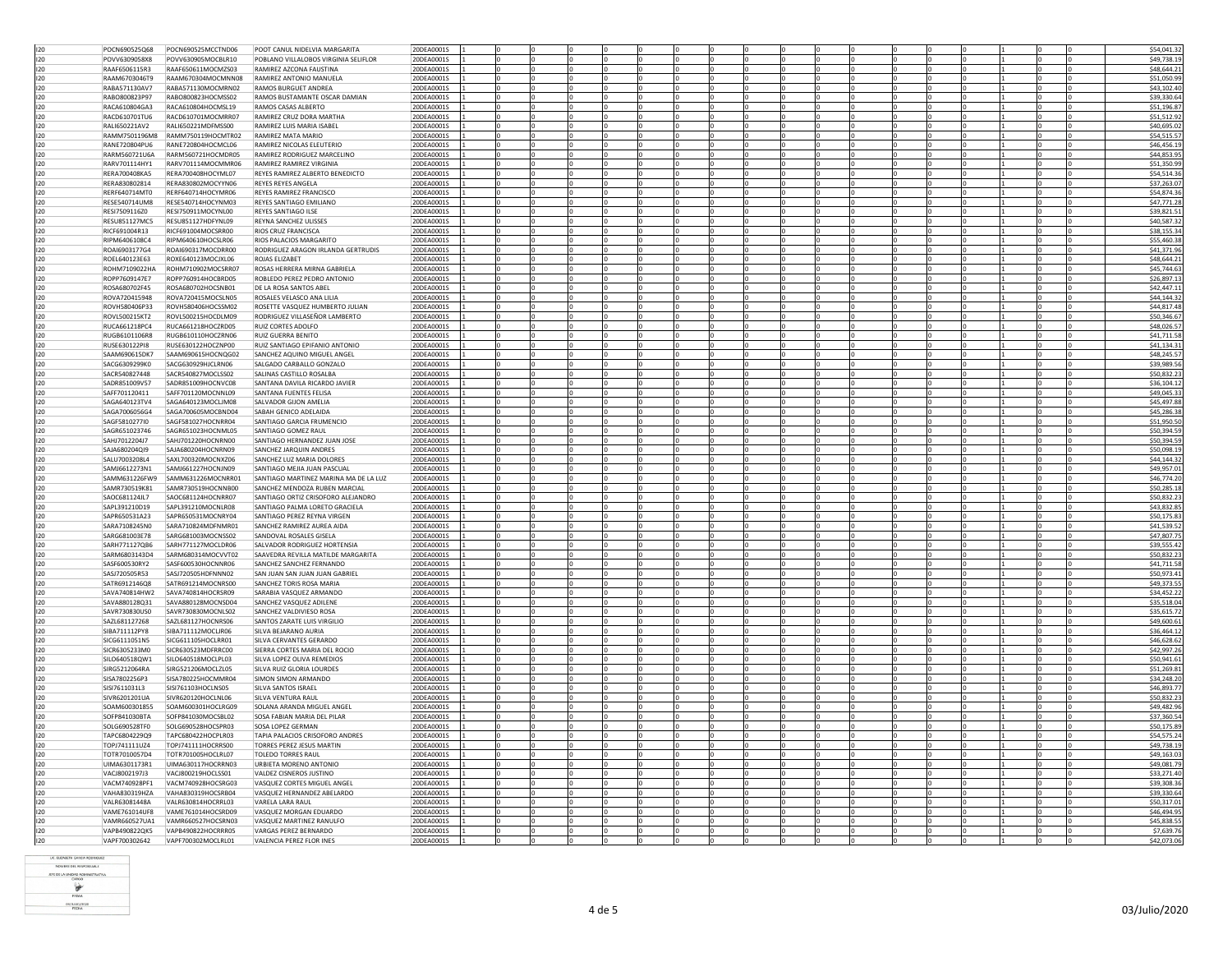| 120<br>120 |               |                     |                                       |            |  |  |  |  |  |  |  |  |             |
|------------|---------------|---------------------|---------------------------------------|------------|--|--|--|--|--|--|--|--|-------------|
|            | POCN690525Q68 | POCN690525MCCTND06  | POOT CANUL NIDELVIA MARGARITA         | 20DEA0001S |  |  |  |  |  |  |  |  | \$54,041.32 |
|            | POVV6309058X8 | POVV630905MOCBLR10  | POBLANO VILLALOBOS VIRGINIA SELIFLOR  | 20DEA0001S |  |  |  |  |  |  |  |  | \$49,738.19 |
| 120        | RAAF6506115R3 | RAAF650611MOCMZS03  | RAMIREZ AZCONA FAUSTINA               | 20DEA0001S |  |  |  |  |  |  |  |  | \$48,644.21 |
| 120        | RAAM6703046T9 | RAAM670304MOCMNN08  | RAMIREZ ANTONIO MANUELA               | 20DEA0001S |  |  |  |  |  |  |  |  | \$51,050.9  |
|            |               |                     |                                       |            |  |  |  |  |  |  |  |  |             |
| 120        | RABA571130AV7 | RABA571130MOCMRN02  | RAMOS BURGUET ANDREA                  | 20DEA0001S |  |  |  |  |  |  |  |  | \$43,102.40 |
| 120        | RABO800823P97 | RABO800823HOCMSS02  | RAMOS BUSTAMANTE OSCAR DAMIAN         | 20DEA0001S |  |  |  |  |  |  |  |  | \$39,330.6  |
| 120        | RACA610804GA3 | RACA610804HOCMSL19  | RAMOS CASAS ALBERTO                   | 20DEA0001S |  |  |  |  |  |  |  |  | \$51,196.8  |
|            |               |                     |                                       |            |  |  |  |  |  |  |  |  |             |
| 120        | RACD610701TU6 | RACD610701MOCMRR07  | RAMIREZ CRUZ DORA MARTHA              | 20DEA00019 |  |  |  |  |  |  |  |  | \$51,512.9  |
| 120        | RALI650221AV2 | RALI650221MDFMSS00  | RAMIREZ LUIS MARIA ISABEL             | 20DEA0001S |  |  |  |  |  |  |  |  | \$40,695.0  |
| 120        | RAMM7501196M8 | RAMM750119HOCMTR02  | RAMIREZ MATA MARIO                    | 20DEA0001S |  |  |  |  |  |  |  |  | \$54,515.5  |
| 120        | RANE720804PU6 | RANE720804HOCMCL06  | RAMIREZ NICOLAS ELEUTERIO             | 20DEA0001S |  |  |  |  |  |  |  |  | \$46,456.1  |
|            |               |                     |                                       |            |  |  |  |  |  |  |  |  |             |
| 120        | RARM560721U6A | RARM560721HOCMDR05  | RAMIREZ RODRIGUEZ MARCELINO           | 20DEA0001S |  |  |  |  |  |  |  |  | \$44,853.95 |
| 120        | RARV701114HY1 | RARV701114MOCMMR06  | <b>RAMIREZ RAMIREZ VIRGINIA</b>       | 20DEA0001S |  |  |  |  |  |  |  |  | \$51,350.9  |
| 120        | RERA700408KA5 | RERA700408HOCYML07  | REYES RAMIREZ ALBERTO BENEDICTO       | 20DEA0001S |  |  |  |  |  |  |  |  | \$54,514.3  |
|            |               |                     |                                       |            |  |  |  |  |  |  |  |  |             |
| 120        | RERA830802814 | RERA830802MOCYYN06  | REYES REYES ANGELA                    | 20DEA0001S |  |  |  |  |  |  |  |  | \$37,263.0  |
| 120        | RFRF640714MT0 | RERE640714HOCYMR06  | <b>REYES RAMIREZ FRANCISCO</b>        | 20DEA0001S |  |  |  |  |  |  |  |  | \$54,874.3  |
| 120        | RESE540714UM8 | RESE540714HOCYNM03  | REYES SANTIAGO EMILIANO               | 20DEA0001S |  |  |  |  |  |  |  |  | \$47,771.2  |
|            |               |                     |                                       |            |  |  |  |  |  |  |  |  |             |
| 120        | RESI7509116Z0 | RESI750911MOCYNL00  | <b>REYES SANTIAGO ILSE</b>            | 20DEA0001S |  |  |  |  |  |  |  |  | \$39,821.5  |
| 120        | RESU851127MC5 | RESU851127HDFYNL09  | REYNA SANCHEZ ULISSE:                 | 20DEA0001S |  |  |  |  |  |  |  |  | \$40,587.3  |
| 120        | RICE691004R13 | RICE691004MOCSRR00  | <b>RIOS CRUZ FRANCISCA</b>            | 20DEA0001S |  |  |  |  |  |  |  |  | \$38,155.3  |
| 120        | RIPM6406108C4 | RIPM640610HOCSLR06  | RIOS PALACIOS MARGARITO               | 20DEA0001S |  |  |  |  |  |  |  |  | \$55,460.3  |
|            |               |                     |                                       |            |  |  |  |  |  |  |  |  |             |
| 120        | ROAI6903177G4 | ROAI690317MOCDRR00  | RODRIGUEZ ARAGON IRLANDA GERTRUDIS    | 20DEA0001S |  |  |  |  |  |  |  |  | \$41,371.9  |
| 120        | ROEL640123E63 | ROXE640123MOCJXL06  | ROJAS ELIZABET                        | 20DEA0001S |  |  |  |  |  |  |  |  | \$48,644.2  |
| 120        | ROHM7109022HA | ROHM710902MOCSRR07  | ROSAS HERRERA MIRNA GABRIELA          | 20DEA0001S |  |  |  |  |  |  |  |  | \$45,744.6  |
| 120        | ROPP7609147F7 |                     |                                       |            |  |  |  |  |  |  |  |  |             |
|            |               | ROPP760914HOCBRD05  | ROBLEDO PEREZ PEDRO ANTONIO           | 20DEA0001S |  |  |  |  |  |  |  |  | \$26,897.1  |
| 120        | ROSA680702F45 | ROSA680702HOCSNB01  | DE LA ROSA SANTOS ABEL                | 20DEA0001S |  |  |  |  |  |  |  |  | \$42,447.1  |
| 120        | ROVA720415948 | ROVA720415MOCSLN05  | ROSALES VELASCO ANA LILIA             | 20DEA0001S |  |  |  |  |  |  |  |  | S44.144.3   |
| 120        | ROVH580406P33 | ROVH580406HOCSSM02  | ROSETTE VASQUEZ HUMBERTO JULIAN       | 20DEA0001S |  |  |  |  |  |  |  |  | \$44,817.48 |
|            |               |                     |                                       |            |  |  |  |  |  |  |  |  |             |
| 120        | ROVL500215KT2 | ROVI 500215HOCDLM09 | RODRIGUEZ VILLASEÑOR LAMBERTO         | 20DEA0001S |  |  |  |  |  |  |  |  | \$50,346.6  |
| 120        | RUCA661218PC4 | RUCA661218HOCZRD05  | <b>RUIZ CORTES ADOLFO</b>             | 20DEA0001S |  |  |  |  |  |  |  |  | \$48,026.57 |
|            |               | RUGB610110HOCZRN06  | <b>RUIZ GUERRA BENITO</b>             |            |  |  |  |  |  |  |  |  |             |
| 120        | RUGB6101106R8 |                     |                                       | 20DEA0001S |  |  |  |  |  |  |  |  | \$41,711.5  |
| 120        | RUSE630122PI8 | RUSE630122HOCZNP00  | RUIZ SANTIAGO EPIFANIO ANTONIO        | 20DEA0001S |  |  |  |  |  |  |  |  | \$41,134.3  |
| 120        | SAAM690615DK7 | SAAM690615HOCNQG02  | SANCHEZ AQUINO MIGUEL ANGEL           | 20DEA0001S |  |  |  |  |  |  |  |  | \$48,245.5  |
| 120        | SACG6309299K0 | SACG630929HICLBN06  | SALGADO CARBALLO GONZALO              | 20DEA0001S |  |  |  |  |  |  |  |  | \$39,989.5  |
|            |               |                     |                                       |            |  |  |  |  |  |  |  |  |             |
| 120        | SACR540827448 | SACR540827MOCLSS02  | SALINAS CASTILLO ROSALBA              | 20DEA0001S |  |  |  |  |  |  |  |  | \$50,832.2  |
| 120        | SADR851009V57 | SADR851009HOCNVC08  | SANTANA DAVILA RICARDO JAVIER         | 20DEA0001S |  |  |  |  |  |  |  |  | \$36,104.1  |
| 120        | SAFF701120411 | SAFF701120MOCNNL09  | SANTANA FUENTES FELISA                | 20DEA0001S |  |  |  |  |  |  |  |  | \$49,045.3  |
|            |               |                     |                                       |            |  |  |  |  |  |  |  |  |             |
| 120        | SAGA640123TV4 | SAGA640123MOCLIM08  | SALVADOR GIJON AMELIA                 | 20DEA0001S |  |  |  |  |  |  |  |  | \$45,497.88 |
| 120        | SAGA7006056G4 | SAGA700605MOCBND04  | SABAH GENICO ADELAIDA                 | 20DEA0001S |  |  |  |  |  |  |  |  | \$45,286.38 |
| 120        | SAGF5810277I0 | SAGF581027HOCNRR04  | SANTIAGO GARCIA FRUMENCIO             | 20DEA0001S |  |  |  |  |  |  |  |  | \$51,950.5  |
|            |               |                     |                                       |            |  |  |  |  |  |  |  |  |             |
| 120        | SAGR651023746 | SAGR651023HOCNML05  | SANTIAGO GOMEZ RAUL                   | 20DEA0001S |  |  |  |  |  |  |  |  | \$50,394.5  |
| 120        | SAHJ7012204J7 | SAHJ701220HOCNRN00  | SANTIAGO HERNANDEZ JUAN JOSE          | 20DEA0001S |  |  |  |  |  |  |  |  | \$50,394.5  |
| 120        | SAJA680204Q19 | SAJA680204HOCNRN09  | SANCHEZ JAROUIN ANDRES                | 20DEA0001S |  |  |  |  |  |  |  |  | \$50,098.1  |
|            |               |                     |                                       |            |  |  |  |  |  |  |  |  |             |
| 120        | SALU7003208L4 | SAXL700320MOCNXZ06  | SANCHEZ LUZ MARIA DOLORES             | 20DEA00019 |  |  |  |  |  |  |  |  | \$44,144.3  |
| 120        | SAMJ6612273N1 | SAMJ661227HOCNJN09  | SANTIAGO MEJIA JUAN PASCUAL           | 20DEA0001S |  |  |  |  |  |  |  |  | \$49,957.0  |
| 120        | SAMM631226FW9 | SAMM631226MOCNRR01  | SANTIAGO MARTINEZ MARINA MA DE LA LUZ | 20DEA0001S |  |  |  |  |  |  |  |  | \$46,774.2  |
|            |               |                     |                                       |            |  |  |  |  |  |  |  |  |             |
| 120        | SAMR730519K81 | SAMR730519HOCNNB00  |                                       |            |  |  |  |  |  |  |  |  | \$50,285.1  |
| 120        |               |                     | SANCHEZ MENDOZA RUBEN MARCIAL         | 20DEA0001S |  |  |  |  |  |  |  |  | \$50,832.2  |
|            |               | SAOC681124HOCNRR07  | SANTIAGO ORTIZ CRISOFORO ALEJANDRO    |            |  |  |  |  |  |  |  |  |             |
|            | SAOC681124JL7 |                     |                                       | 20DEA0001S |  |  |  |  |  |  |  |  |             |
| 120        | SAPL391210D19 | SAPL391210MOCNLR08  | SANTIAGO PALMA LORETO GRACIELA        | 20DEA0001S |  |  |  |  |  |  |  |  | \$43,832.8  |
| 120        | SAPR650531A23 | SAPR650531MOCNRY04  | SANTIAGO PEREZ REYNA VIRGEN           | 20DEA0001S |  |  |  |  |  |  |  |  | \$50,175.8  |
|            |               |                     | SANCHEZ RAMIREZ AUREA AIDA            |            |  |  |  |  |  |  |  |  |             |
| 120        | SARA7108245N0 | SARA710824MDFNMR01  |                                       | 20DEA0001S |  |  |  |  |  |  |  |  | \$41,539.5  |
| 120        | SARG681003E78 | SARG681003MOCNSS02  | SANDOVAL ROSALES GISELA               | 20DEA0001S |  |  |  |  |  |  |  |  | \$47,807.7  |
| 120        | SARH771127QB6 | SARH771127MOCLDR06  | SALVADOR RODRIGUEZ HORTENSIA          | 20DEA0001S |  |  |  |  |  |  |  |  | \$39,555.4  |
| 120        | SARM6803143D4 | SARM680314MOCVVT02  | SAAVEDRA REVILLA MATILDE MARGARITA    | 20DEA0001S |  |  |  |  |  |  |  |  | \$50,832.2  |
|            | SASF600530RY2 | SASF600530HOCNNR06  | SANCHEZ SANCHEZ FERNANDO              | 20DEA0001S |  |  |  |  |  |  |  |  |             |
| 120        |               |                     |                                       |            |  |  |  |  |  |  |  |  | \$41,711.5  |
| 120        | SASI720505R53 | SASI720505HDENNN02  | SAN JUAN SAN JUAN JUAN GABRIEL        | 20DEA0001S |  |  |  |  |  |  |  |  | \$50,973.41 |
| 120        | SATR6912146Q8 | SATR691214MOCNRS00  | SANCHEZ TORIS ROSA MARIA              | 20DEA0001S |  |  |  |  |  |  |  |  | \$49,373.5  |
| 120        | SAVA740814HW2 | SAVA740814HOCRSR09  | SARABIA VASQUEZ ARMANDO               | 20DEA0001S |  |  |  |  |  |  |  |  |             |
|            |               |                     |                                       |            |  |  |  |  |  |  |  |  | \$34,452.2  |
| 120        | SAVA880128Q31 | SAVA880128MOCNSD04  | SANCHEZ VASQUEZ ADILENE               | 20DEA0001S |  |  |  |  |  |  |  |  | \$35,518.0  |
| 120        | SAVR730830US0 | SAVR730830MOCNLS02  | SANCHEZ VALDIVIESO ROSA               | 20DEA0001S |  |  |  |  |  |  |  |  | \$35,615.7  |
| 120        | SAZL681127268 | SAZL681127HOCNRS06  | SANTOS ZARATE LUIS VIRGILIO           | 20DEA0001S |  |  |  |  |  |  |  |  | \$49,600.6  |
|            |               |                     |                                       |            |  |  |  |  |  |  |  |  |             |
| 120        | SIBA711112PY8 | SIBA711112MOCLJR06  | SILVA BEJARANO AURIA                  | 20DEA00019 |  |  |  |  |  |  |  |  | \$36,464.1  |
| 120        | SICG6111051N5 | SICG611105HOCLRR01  | SILVA CERVANTES GERARDO               | 20DEA0001S |  |  |  |  |  |  |  |  | \$46,628.6  |
| 120        | SICR6305233M0 | SICR630523MDFRRC00  | SIERRA CORTES MARIA DEL ROCIO         | 20DEA0001S |  |  |  |  |  |  |  |  | \$42,997.2  |
|            |               |                     |                                       |            |  |  |  |  |  |  |  |  |             |
| 120        | SILO640518QW1 | SILO640518MOCLPL03  | SILVA LOPEZ OLIVA REMEDIOS            | 20DEA0001S |  |  |  |  |  |  |  |  | \$50,941.6  |
| 120        | SIRG5212064RA | SIRG521206MOCLZL05  | SILVA RUIZ GLORIA LOURDES             | 20DEA0001S |  |  |  |  |  |  |  |  | \$51,269.81 |
| 120        | SISA7802256P3 | SISA780225HOCMMR04  | SIMON SIMON ARMANDO                   | 20DEA0001S |  |  |  |  |  |  |  |  | \$34,248.2  |
| 120        | SISI7611031L3 | SISI761103HOCLNS05  | SILVA SANTOS ISRAEL                   | 20DEA0001S |  |  |  |  |  |  |  |  |             |
|            |               |                     |                                       |            |  |  |  |  |  |  |  |  | \$46,893.7  |
| 120        | SIVR6201201UA | SIVR620120HOCLNL06  | SILVA VENTURA RAUL                    | 20DEA0001S |  |  |  |  |  |  |  |  | \$50,832.2  |
| 120        | SOAM600301855 | SOAM600301HOCLRG09  | SOLANA ARANDA MIGUEL ANGEL            | 20DEA0001S |  |  |  |  |  |  |  |  | \$49,482.9  |
|            |               |                     |                                       |            |  |  |  |  |  |  |  |  |             |
| 120        | SOFP841030BTA | SOFP841030MOCSBL02  | SOSA FABIAN MARIA DEL PILAR           | 20DEA00019 |  |  |  |  |  |  |  |  | \$37,360.5  |
| 120        | SOLG690528TF0 | SOLG690528HOCSPR03  | SOSA LOPEZ GERMAN                     | 20DEA0001S |  |  |  |  |  |  |  |  | \$50,175.8  |
| 120        | TAPC6804229Q9 | TAPC680422HOCPLR03  | TAPIA PALACIOS CRISOFORO ANDRES       | 20DEA0001S |  |  |  |  |  |  |  |  | \$54,575.2  |
| 120        | TOPJ741111UZ4 | TOPJ741111HOCRRS00  | <b>TORRES PEREZ JESUS MARTIN</b>      |            |  |  |  |  |  |  |  |  |             |
|            |               |                     |                                       | 20DEA0001S |  |  |  |  |  |  |  |  | \$49,738.1  |
| 120        | TOTR7010057D4 | TOTR701005HOCLRL07  | <b>TOLEDO TORRES RAUL</b>             | 20DEA0001S |  |  |  |  |  |  |  |  | \$49,163.0  |
| 120        | UIMA6301173R1 | UIMA630117HOCRRN03  | <b>URBIETA MORENO ANTONIO</b>         | 20DEA0001S |  |  |  |  |  |  |  |  | \$49,081.7  |
| 120        | VACJ8002197J3 | VACJ800219HOCLSS01  | VALDEZ CISNEROS JUSTINO               | 20DEA0001S |  |  |  |  |  |  |  |  | \$33,271.40 |
|            |               |                     |                                       |            |  |  |  |  |  |  |  |  |             |
| 120        | VACM740928PF1 | VACM740928HOCSRG03  | VASQUEZ CORTES MIGUEL ANGEL           | 20DEA0001S |  |  |  |  |  |  |  |  | \$39,308.3  |
| 120        | VAHA830319HZA | VAHA830319HOCSRB04  | VASQUEZ HERNANDEZ ABELARDO            | 20DEA0001S |  |  |  |  |  |  |  |  | \$39,330.6  |
| 120        | VALR63081448A | VALR630814HOCRRL03  | VARELA LARA RAUL                      | 20DEA0001S |  |  |  |  |  |  |  |  | \$50,317.0  |
|            |               |                     |                                       |            |  |  |  |  |  |  |  |  |             |
| 120        | VAME761014UF8 | VAME761014HOCSRD09  | VASQUEZ MORGAN EDUARDO                | 20DEA0001S |  |  |  |  |  |  |  |  | \$46,494.9  |
| 120        | VAMR660527UA1 | VAMR660527HOCSRN03  | VASQUEZ MARTINEZ RANULFO              | 20DEA0001S |  |  |  |  |  |  |  |  | \$45,838.5  |
| 120        | VAPB490822QK5 | VAPB490822HOCRRR05  | VARGAS PEREZ BERNARDO                 | 20DEA0001S |  |  |  |  |  |  |  |  | \$7,639.7   |
| 120        | VAPF700302642 | VAPF700302MOCLRL01  | VALENCIA PEREZ FLOR INES              | 20DEA0001S |  |  |  |  |  |  |  |  | \$42,073.06 |

.<br>ELIZABETH GARCIA RODRIGUE NOMINE DEL RESPONSANT  $\mathbf{r}$ FIRMA  $4 \text{ de } 5$  03/Julio/2020